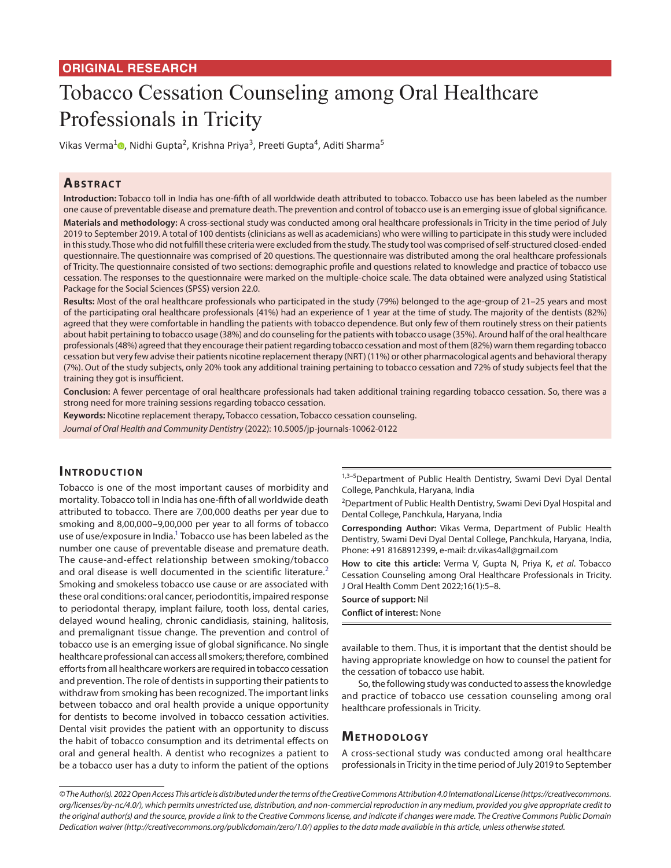## **ORIGINAL RESEARCH**

# Tobacco Cessation Counseling among Oral Healthcare Professionals in Tricity

Vikas Verma<sup>[1](https://orcid.org/0000-0002-6226-5448)</sup>®, Nidhi Gupta<sup>2</sup>, Krishna Priya<sup>3</sup>, Preeti Gupta<sup>4</sup>, Aditi Sharma<sup>5</sup>

# **ABSTRACT**

**Introduction:** Tobacco toll in India has one-fifth of all worldwide death attributed to tobacco. Tobacco use has been labeled as the number one cause of preventable disease and premature death. The prevention and control of tobacco use is an emerging issue of global significance. **Materials and methodology:** A cross-sectional study was conducted among oral healthcare professionals in Tricity in the time period of July 2019 to September 2019. A total of 100 dentists (clinicians as well as academicians) who were willing to participate in this study were included in this study. Those who did not fulfill these criteria were excluded from the study. The study tool was comprised of self-structured closed-ended questionnaire. The questionnaire was comprised of 20 questions. The questionnaire was distributed among the oral healthcare professionals of Tricity. The questionnaire consisted of two sections: demographic profile and questions related to knowledge and practice of tobacco use cessation. The responses to the questionnaire were marked on the multiple-choice scale. The data obtained were analyzed using Statistical Package for the Social Sciences (SPSS) version 22.0.

**Results:** Most of the oral healthcare professionals who participated in the study (79%) belonged to the age-group of 21–25 years and most of the participating oral healthcare professionals (41%) had an experience of 1 year at the time of study. The majority of the dentists (82%) agreed that they were comfortable in handling the patients with tobacco dependence. But only few of them routinely stress on their patients about habit pertaining to tobacco usage (38%) and do counseling for the patients with tobacco usage (35%). Around half of the oral healthcare professionals (48%) agreed that they encourage their patient regarding tobacco cessation and most of them (82%) warn them regarding tobacco cessation but very few advise their patients nicotine replacement therapy (NRT) (11%) or other pharmacological agents and behavioral therapy (7%). Out of the study subjects, only 20% took any additional training pertaining to tobacco cessation and 72% of study subjects feel that the training they got is insufficient.

**Conclusion:** A fewer percentage of oral healthcare professionals had taken additional training regarding tobacco cessation. So, there was a strong need for more training sessions regarding tobacco cessation.

**Keywords:** Nicotine replacement therapy, Tobacco cessation, Tobacco cessation counseling. *Journal of Oral Health and Community Dentistry* (2022): 10.5005/jp-journals-10062-0122

### **INTRODUCTION**

Tobacco is one of the most important causes of morbidity and mortality. Tobacco toll in India has one-fifth of all worldwide death attributed to tobacco. There are 7,00,000 deaths per year due to smoking and 8,00,000–9,00,000 per year to all forms of tobacco use of use/exposure in India.<sup>1</sup> Tobacco use has been labeled as the number one cause of preventable disease and premature death. The cause-and-effect relationship between smoking/tobacco and oral disease is well documented in the scientific literature.<sup>[2](#page-3-1)</sup> Smoking and smokeless tobacco use cause or are associated with these oral conditions: oral cancer, periodontitis, impaired response to periodontal therapy, implant failure, tooth loss, dental caries, delayed wound healing, chronic candidiasis, staining, halitosis, and premalignant tissue change. The prevention and control of tobacco use is an emerging issue of global significance. No single healthcare professional can access all smokers; therefore, combined efforts from all healthcare workers are required in tobacco cessation and prevention. The role of dentists in supporting their patients to withdraw from smoking has been recognized. The important links between tobacco and oral health provide a unique opportunity for dentists to become involved in tobacco cessation activities. Dental visit provides the patient with an opportunity to discuss the habit of tobacco consumption and its detrimental effects on oral and general health. A dentist who recognizes a patient to be a tobacco user has a duty to inform the patient of the options

1,3-5Department of Public Health Dentistry, Swami Devi Dyal Dental College, Panchkula, Haryana, India

<sup>2</sup>Department of Public Health Dentistry, Swami Devi Dyal Hospital and Dental College, Panchkula, Haryana, India

**Corresponding Author:** Vikas Verma, Department of Public Health Dentistry, Swami Devi Dyal Dental College, Panchkula, Haryana, India, Phone: +91 8168912399, e-mail: dr.vikas4all@gmail.com

**How to cite this article:** Verma V, Gupta N, Priya K, *et al*. Tobacco Cessation Counseling among Oral Healthcare Professionals in Tricity. J Oral Health Comm Dent 2022;16(1):5–8.

**Source of support:** Nil **Conflict of interest:** None

available to them. Thus, it is important that the dentist should be having appropriate knowledge on how to counsel the patient for the cessation of tobacco use habit.

So, the following study was conducted to assess the knowledge and practice of tobacco use cessation counseling among oral healthcare professionals in Tricity.

### **Me thodo logy**

A cross-sectional study was conducted among oral healthcare professionals in Tricity in the time period of July 2019 to September

*<sup>©</sup> The Author(s). 2022 Open Access This article is distributed under the terms of the Creative Commons Attribution 4.0 International License (https://creativecommons. org/licenses/by-nc/4.0/), which permits unrestricted use, distribution, and non-commercial reproduction in any medium, provided you give appropriate credit to the original author(s) and the source, provide a link to the Creative Commons license, and indicate if changes were made. The Creative Commons Public Domain Dedication waiver (http://creativecommons.org/publicdomain/zero/1.0/) applies to the data made available in this article, unless otherwise stated.*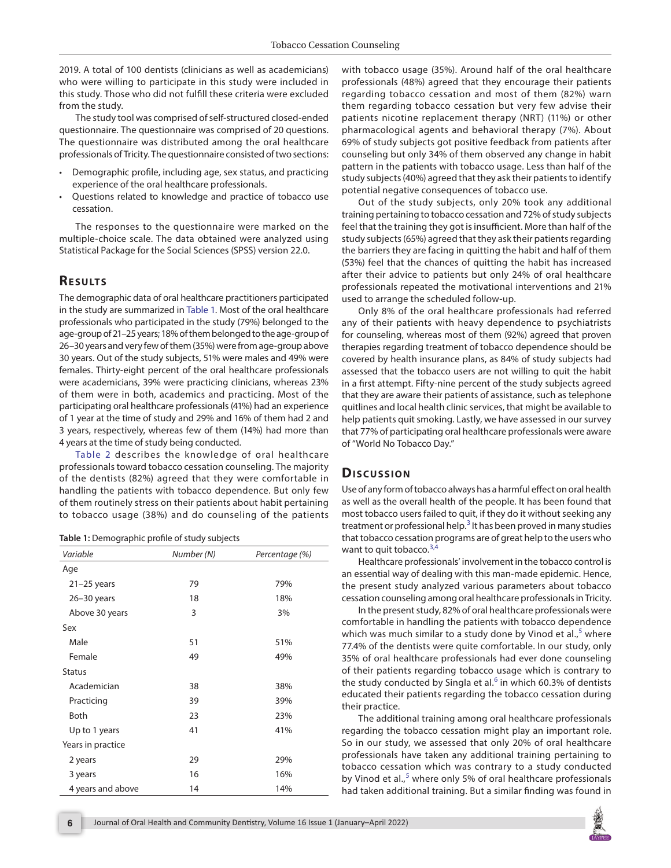2019. A total of 100 dentists (clinicians as well as academicians) who were willing to participate in this study were included in this study. Those who did not fulfill these criteria were excluded from the study.

The study tool was comprised of self-structured closed-ended questionnaire. The questionnaire was comprised of 20 questions. The questionnaire was distributed among the oral healthcare professionals of Tricity. The questionnaire consisted of two sections:

- Demographic profile, including age, sex status, and practicing experience of the oral healthcare professionals.
- Questions related to knowledge and practice of tobacco use cessation.

The responses to the questionnaire were marked on the multiple-choice scale. The data obtained were analyzed using Statistical Package for the Social Sciences (SPSS) version 22.0.

# **RESULTS**

The demographic data of oral healthcare practitioners participated in the study are summarized in [Table 1](#page-1-0). Most of the oral healthcare professionals who participated in the study (79%) belonged to the age-group of 21–25 years; 18% of them belonged to the age-group of 26–30 years and very few of them (35%) were from age-group above 30 years. Out of the study subjects, 51% were males and 49% were females. Thirty-eight percent of the oral healthcare professionals were academicians, 39% were practicing clinicians, whereas 23% of them were in both, academics and practicing. Most of the participating oral healthcare professionals (41%) had an experience of 1 year at the time of study and 29% and 16% of them had 2 and 3 years, respectively, whereas few of them (14%) had more than 4 years at the time of study being conducted.

[Table 2](#page-2-0) describes the knowledge of oral healthcare professionals toward tobacco cessation counseling. The majority of the dentists (82%) agreed that they were comfortable in handling the patients with tobacco dependence. But only few of them routinely stress on their patients about habit pertaining to tobacco usage (38%) and do counseling of the patients

<span id="page-1-0"></span>

| Variable          | Number (N) | Percentage (%) |
|-------------------|------------|----------------|
| Age               |            |                |
| $21-25$ years     | 79         | 79%            |
| $26 - 30$ years   | 18         | 18%            |
| Above 30 years    | 3          | 3%             |
| Sex               |            |                |
| Male              | 51         | 51%            |
| Female            | 49         | 49%            |
| <b>Status</b>     |            |                |
| Academician       | 38         | 38%            |
| Practicing        | 39         | 39%            |
| <b>Both</b>       | 23         | 23%            |
| Up to 1 years     | 41         | 41%            |
| Years in practice |            |                |
| 2 years           | 29         | 29%            |
| 3 years           | 16         | 16%            |
| 4 years and above | 14         | 14%            |

with tobacco usage (35%). Around half of the oral healthcare professionals (48%) agreed that they encourage their patients regarding tobacco cessation and most of them (82%) warn them regarding tobacco cessation but very few advise their patients nicotine replacement therapy (NRT) (11%) or other pharmacological agents and behavioral therapy (7%). About 69% of study subjects got positive feedback from patients after counseling but only 34% of them observed any change in habit pattern in the patients with tobacco usage. Less than half of the study subjects (40%) agreed that they ask their patients to identify potential negative consequences of tobacco use.

Out of the study subjects, only 20% took any additional training pertaining to tobacco cessation and 72% of study subjects feel that the training they got is insufficient. More than half of the study subjects (65%) agreed that they ask their patients regarding the barriers they are facing in quitting the habit and half of them (53%) feel that the chances of quitting the habit has increased after their advice to patients but only 24% of oral healthcare professionals repeated the motivational interventions and 21% used to arrange the scheduled follow-up.

Only 8% of the oral healthcare professionals had referred any of their patients with heavy dependence to psychiatrists for counseling, whereas most of them (92%) agreed that proven therapies regarding treatment of tobacco dependence should be covered by health insurance plans, as 84% of study subjects had assessed that the tobacco users are not willing to quit the habit in a first attempt. Fifty-nine percent of the study subjects agreed that they are aware their patients of assistance, such as telephone quitlines and local health clinic services, that might be available to help patients quit smoking. Lastly, we have assessed in our survey that 77% of participating oral healthcare professionals were aware of "World No Tobacco Day."

### **Discussion**

Use of any form of tobacco always has a harmful effect on oral health as well as the overall health of the people. It has been found that most tobacco users failed to quit, if they do it without seeking any treatment or professional help.<sup>[3](#page-3-2)</sup> It has been proved in many studies that tobacco cessation programs are of great help to the users who want to quit tobacco. $3,4$  $3,4$  $3,4$ 

Healthcare professionals' involvement in the tobacco control is an essential way of dealing with this man-made epidemic. Hence, the present study analyzed various parameters about tobacco cessation counseling among oral healthcare professionals in Tricity.

In the present study, 82% of oral healthcare professionals were comfortable in handling the patients with tobacco dependence which was much similar to a study done by Vinod et al.,<sup>[5](#page-3-4)</sup> where 77.4% of the dentists were quite comfortable. In our study, only 35% of oral healthcare professionals had ever done counseling of their patients regarding tobacco usage which is contrary to the study conducted by Singla et al.<sup>[6](#page-3-5)</sup> in which 60.3% of dentists educated their patients regarding the tobacco cessation during their practice.

The additional training among oral healthcare professionals regarding the tobacco cessation might play an important role. So in our study, we assessed that only 20% of oral healthcare professionals have taken any additional training pertaining to tobacco cessation which was contrary to a study conducted by Vinod et al.,<sup>[5](#page-3-4)</sup> where only 5% of oral healthcare professionals had taken additional training. But a similar finding was found in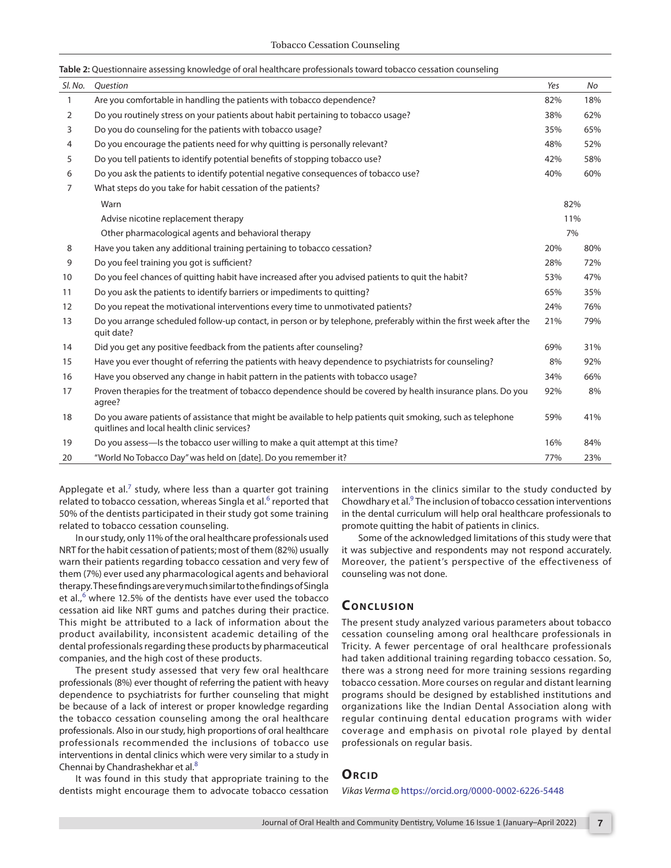| SI. No. | Question                                                                                                                                                    | Yes | No  |  |
|---------|-------------------------------------------------------------------------------------------------------------------------------------------------------------|-----|-----|--|
| 1       | Are you comfortable in handling the patients with tobacco dependence?                                                                                       | 82% | 18% |  |
| 2       | Do you routinely stress on your patients about habit pertaining to tobacco usage?                                                                           | 38% | 62% |  |
| 3       | Do you do counseling for the patients with tobacco usage?                                                                                                   | 35% | 65% |  |
| 4       | Do you encourage the patients need for why quitting is personally relevant?                                                                                 | 48% | 52% |  |
| 5       | Do you tell patients to identify potential benefits of stopping tobacco use?                                                                                | 42% | 58% |  |
| 6       | Do you ask the patients to identify potential negative consequences of tobacco use?                                                                         | 40% | 60% |  |
| 7       | What steps do you take for habit cessation of the patients?                                                                                                 |     |     |  |
|         | Warn                                                                                                                                                        |     | 82% |  |
|         | Advise nicotine replacement therapy                                                                                                                         | 11% |     |  |
|         | Other pharmacological agents and behavioral therapy                                                                                                         |     | 7%  |  |
| 8       | Have you taken any additional training pertaining to tobacco cessation?                                                                                     | 20% | 80% |  |
| 9       | Do you feel training you got is sufficient?                                                                                                                 | 28% | 72% |  |
| 10      | Do you feel chances of quitting habit have increased after you advised patients to quit the habit?                                                          | 53% | 47% |  |
| 11      | Do you ask the patients to identify barriers or impediments to quitting?                                                                                    | 65% | 35% |  |
| 12      | Do you repeat the motivational interventions every time to unmotivated patients?                                                                            | 24% | 76% |  |
| 13      | Do you arrange scheduled follow-up contact, in person or by telephone, preferably within the first week after the<br>quit date?                             | 21% | 79% |  |
| 14      | Did you get any positive feedback from the patients after counseling?                                                                                       | 69% | 31% |  |
| 15      | Have you ever thought of referring the patients with heavy dependence to psychiatrists for counseling?                                                      | 8%  | 92% |  |
| 16      | Have you observed any change in habit pattern in the patients with tobacco usage?                                                                           | 34% | 66% |  |
| 17      | Proven therapies for the treatment of tobacco dependence should be covered by health insurance plans. Do you<br>agree?                                      | 92% | 8%  |  |
| 18      | Do you aware patients of assistance that might be available to help patients quit smoking, such as telephone<br>quitlines and local health clinic services? | 59% | 41% |  |
| 19      | Do you assess-Is the tobacco user willing to make a quit attempt at this time?                                                                              | 16% | 84% |  |
| 20      | "World No Tobacco Day" was held on [date]. Do you remember it?                                                                                              | 77% | 23% |  |

<span id="page-2-0"></span>**Table 2:** Questionnaire assessing knowledge of oral healthcare professionals toward tobacco cessation counseling

Applegate et al. $<sup>7</sup>$  $<sup>7</sup>$  $<sup>7</sup>$  study, where less than a quarter got training</sup> related to tobacco cessation, whereas Singla et al.<sup>[6](#page-3-5)</sup> reported that 50% of the dentists participated in their study got some training related to tobacco cessation counseling.

In our study, only 11% of the oral healthcare professionals used NRT for the habit cessation of patients; most of them (82%) usually warn their patients regarding tobacco cessation and very few of them (7%) ever used any pharmacological agents and behavioral therapy. These findings are very much similar to the findings of Singla et al.,<sup>[6](#page-3-5)</sup> where 12.5% of the dentists have ever used the tobacco cessation aid like NRT gums and patches during their practice. This might be attributed to a lack of information about the product availability, inconsistent academic detailing of the dental professionals regarding these products by pharmaceutical companies, and the high cost of these products.

The present study assessed that very few oral healthcare professionals (8%) ever thought of referring the patient with heavy dependence to psychiatrists for further counseling that might be because of a lack of interest or proper knowledge regarding the tobacco cessation counseling among the oral healthcare professionals. Also in our study, high proportions of oral healthcare professionals recommended the inclusions of tobacco use interventions in dental clinics which were very similar to a study in Chennai by Chandrashekhar et al.[8](#page-3-7)

It was found in this study that appropriate training to the dentists might encourage them to advocate tobacco cessation interventions in the clinics similar to the study conducted by Chowdhary et al.<sup>9</sup> The inclusion of tobacco cessation interventions in the dental curriculum will help oral healthcare professionals to promote quitting the habit of patients in clinics.

Some of the acknowledged limitations of this study were that it was subjective and respondents may not respond accurately. Moreover, the patient's perspective of the effectiveness of counseling was not done.

# **CONCLUSION**

The present study analyzed various parameters about tobacco cessation counseling among oral healthcare professionals in Tricity. A fewer percentage of oral healthcare professionals had taken additional training regarding tobacco cessation. So, there was a strong need for more training sessions regarding tobacco cessation. More courses on regular and distant learning programs should be designed by established institutions and organizations like the Indian Dental Association along with regular continuing dental education programs with wider coverage and emphasis on pivotal role played by dental professionals on regular basis.

# **ORCID**

*Vikas Verm[a](https://orcid.org/0000-0002-6226-5448)* https://orcid.org/0000-0002-6226-5448